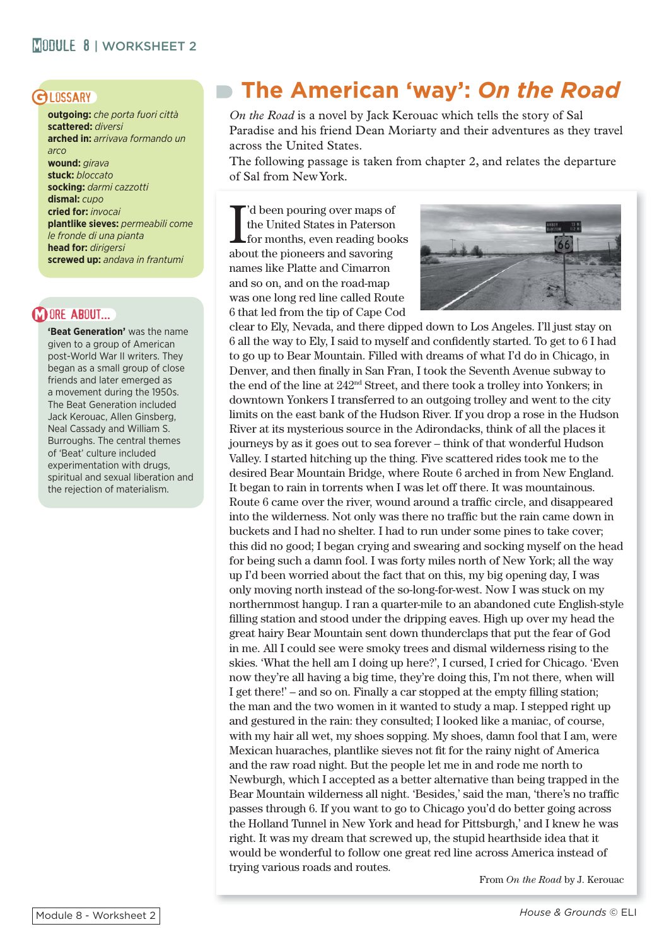# **GLOSSARY**

**outgoing:** *che porta fuori città* **scattered:** *diversi* **arched in:** *arrivava formando un arco* **wound:** *girava* **stuck:** *bloccato* **socking:** *darmi cazzotti* **dismal:** *cupo* **cried for:** *invocai* **plantlike sieves:** *permeabili come le fronde di una pianta* **head for:** *dirigersi* **screwed up:** *andava in frantumi*

### **M ORE ABOUT...**

**'Beat Generation'** was the name given to a group of American post-World War II writers. They began as a small group of close friends and later emerged as a movement during the 1950s. The Beat Generation included Jack Kerouac, Allen Ginsberg, Neal Cassady and William S. Burroughs. The central themes of 'Beat' culture included experimentation with drugs, spiritual and sexual liberation and the rejection of materialism.

# **The American 'way':** *On the Road*

*On the Road* is a novel by Jack Kerouac which tells the story of Sal Paradise and his friend Dean Moriarty and their adventures as they travel across the United States.

The following passage is taken from chapter 2, and relates the departure of Sal from New York.

I'd been pouring over maps of<br>the United States in Paterson<br>for months, even reading boo<br>about the pioneers and savoring 'd been pouring over maps of the United States in Paterson for months, even reading books names like Platte and Cimarron and so on, and on the road-map was one long red line called Route 6 that led from the tip of Cape Cod



clear to Ely, Nevada, and there dipped down to Los Angeles. I'll just stay on 6 all the way to Ely, I said to myself and confidently started. To get to 6 I had to go up to Bear Mountain. Filled with dreams of what I'd do in Chicago, in Denver, and then finally in San Fran, I took the Seventh Avenue subway to the end of the line at 242nd Street, and there took a trolley into Yonkers; in downtown Yonkers I transferred to an outgoing trolley and went to the city limits on the east bank of the Hudson River. If you drop a rose in the Hudson River at its mysterious source in the Adirondacks, think of all the places it journeys by as it goes out to sea forever – think of that wonderful Hudson Valley. I started hitching up the thing. Five scattered rides took me to the desired Bear Mountain Bridge, where Route 6 arched in from New England. It began to rain in torrents when I was let off there. It was mountainous. Route 6 came over the river, wound around a traffic circle, and disappeared into the wilderness. Not only was there no traffic but the rain came down in buckets and I had no shelter. I had to run under some pines to take cover; this did no good; I began crying and swearing and socking myself on the head for being such a damn fool. I was forty miles north of New York; all the way up I'd been worried about the fact that on this, my big opening day, I was only moving north instead of the so-long-for-west. Now I was stuck on my northernmost hangup. I ran a quarter-mile to an abandoned cute English-style filling station and stood under the dripping eaves. High up over my head the great hairy Bear Mountain sent down thunderclaps that put the fear of God in me. All I could see were smoky trees and dismal wilderness rising to the skies. 'What the hell am I doing up here?', I cursed, I cried for Chicago. 'Even now they're all having a big time, they're doing this, I'm not there, when will I get there!'  $-$  and so on. Finally a car stopped at the empty filling station; the man and the two women in it wanted to study a map. I stepped right up and gestured in the rain: they consulted; I looked like a maniac, of course, with my hair all wet, my shoes sopping. My shoes, damn fool that I am, were Mexican huaraches, plantlike sieves not fit for the rainy night of America and the raw road night. But the people let me in and rode me north to Newburgh, which I accepted as a better alternative than being trapped in the Bear Mountain wilderness all night. 'Besides,' said the man, 'there's no traffic passes through 6. If you want to go to Chicago you'd do better going across the Holland Tunnel in New York and head for Pittsburgh,' and I knew he was right. It was my dream that screwed up, the stupid hearthside idea that it would be wonderful to follow one great red line across America instead of trying various roads and routes.

From *On the Road* by J. Kerouac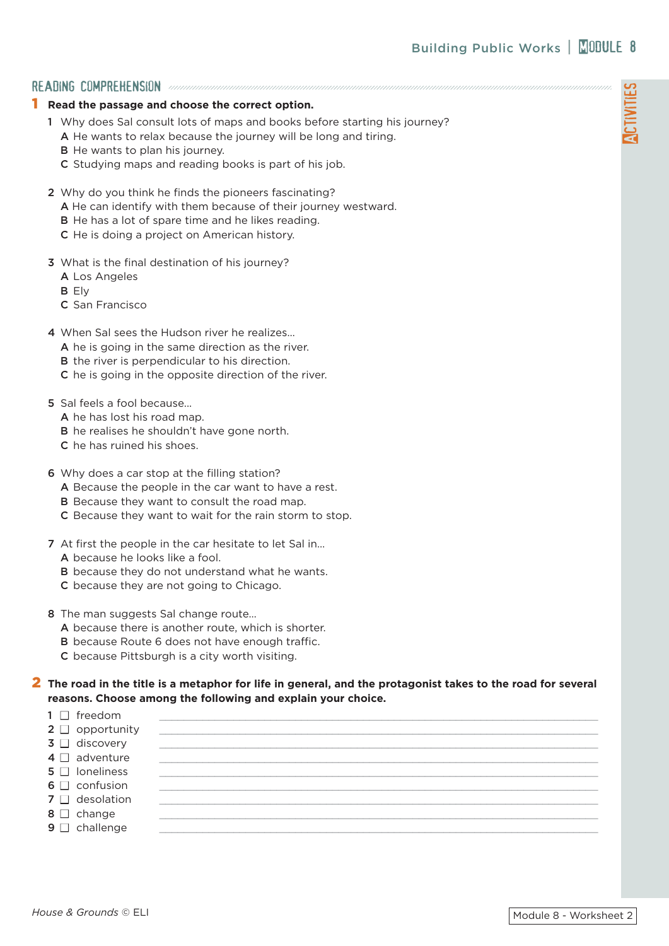**ACTIVITIES** 

## READING COMPREHENSION *administrational compression compression compression compression compression*

## 1 **Read the passage and choose the correct option.**

- 1 Why does Sal consult lots of maps and books before starting his journey? A He wants to relax because the journey will be long and tiring.
	- **B** He wants to plan his journey.
	- C Studying maps and reading books is part of his job.
- 2 Why do you think he finds the pioneers fascinating? A He can identify with them because of their journey westward. B He has a lot of spare time and he likes reading.
	- C He is doing a project on American history.
- 3 What is the final destination of his journey?
	- A Los Angeles
	- B Ely
	- C San Francisco
- 4 When Sal sees the Hudson river he realizes…
	- A he is going in the same direction as the river.
	- B the river is perpendicular to his direction.
	- C he is going in the opposite direction of the river.
- 5 Sal feels a fool because...
	- A he has lost his road map.
	- B he realises he shouldn't have gone north.
	- C he has ruined his shoes.

#### 6 Why does a car stop at the filling station?

- A Because the people in the car want to have a rest.
- **B** Because they want to consult the road map.
- C Because they want to wait for the rain storm to stop.
- 7 At first the people in the car hesitate to let Sal in...
	- A because he looks like a fool.
	- B because they do not understand what he wants.
	- C because they are not going to Chicago.
- 8 The man suggests Sal change route...
	- A because there is another route, which is shorter.
	- B because Route 6 does not have enough traffic.
	- C because Pittsburgh is a city worth visiting.

#### 2 **The road in the title is a metaphor for life in general, and the protagonist takes to the road for several reasons. Choose among the following and explain your choice.**

- $1 \sqcap$  freedom
- $2 \sqcap$  opportunity
- $3 \Box$  discovery
- $4 \sqcap$  adventure
- $5 \sqcap$  loneliness
- $6 \sqcap$  confusion
- $7 \Box$  desolation
- $8 \sqcap$  change
- $9 \Box$  challenge